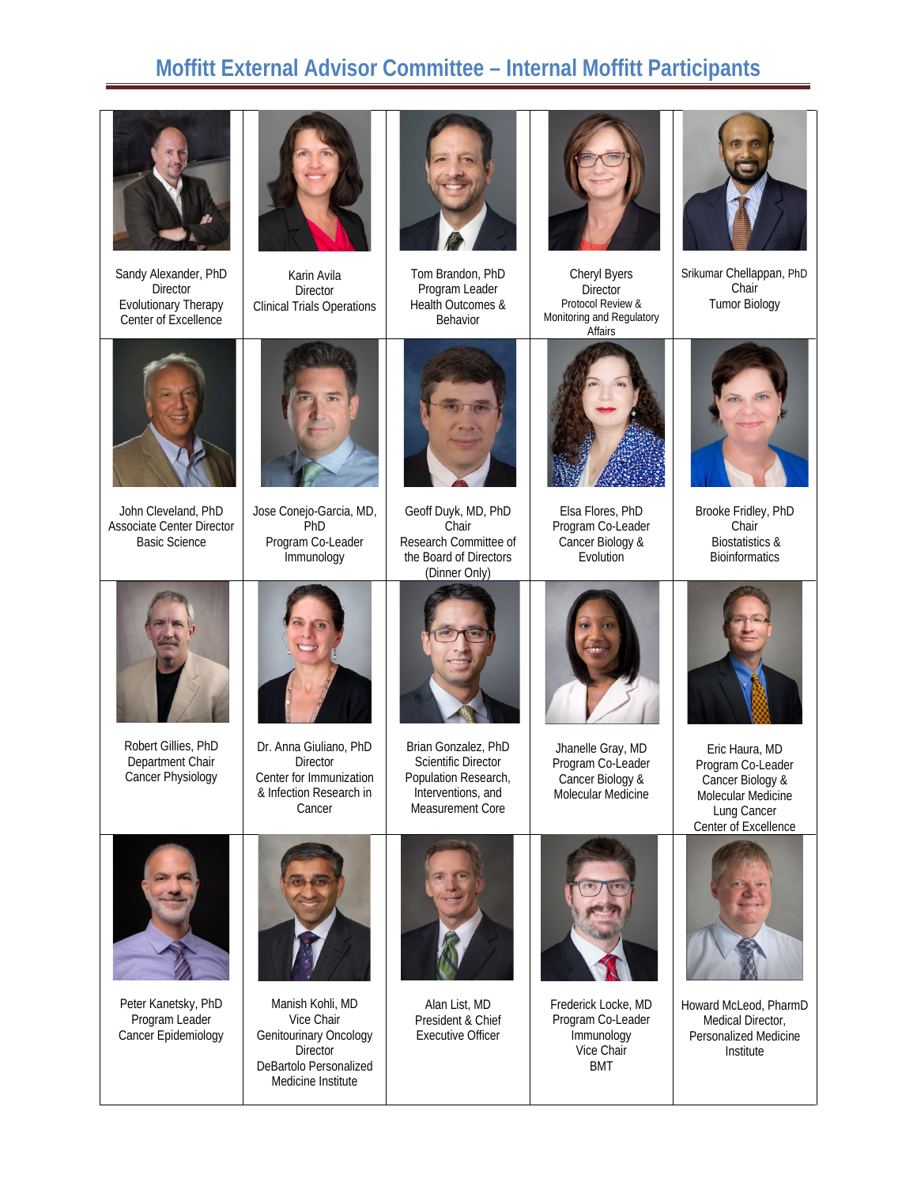## **Moffitt External Advisor Committee – Internal Moffitt Participants**